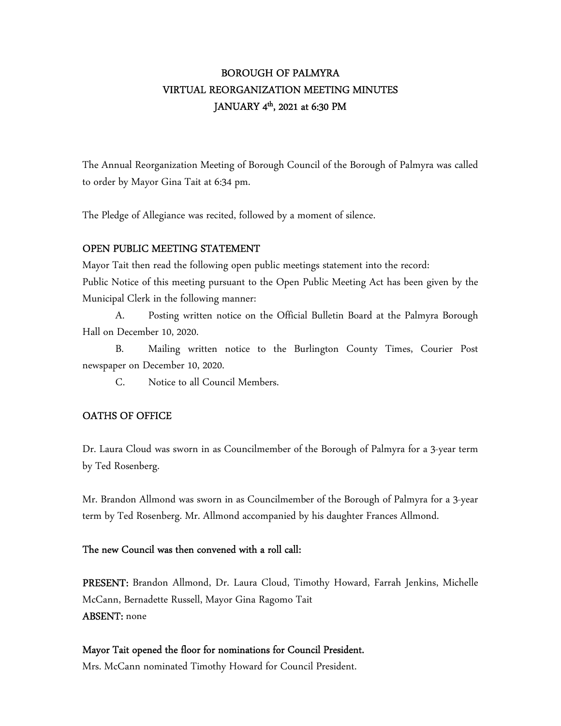# BOROUGH OF PALMYRA VIRTUAL REORGANIZATION MEETING MINUTES JANUARY 4 th, 2021 at 6:30 PM

The Annual Reorganization Meeting of Borough Council of the Borough of Palmyra was called to order by Mayor Gina Tait at 6:34 pm.

The Pledge of Allegiance was recited, followed by a moment of silence.

#### OPEN PUBLIC MEETING STATEMENT

Mayor Tait then read the following open public meetings statement into the record:

Public Notice of this meeting pursuant to the Open Public Meeting Act has been given by the Municipal Clerk in the following manner:

 A. Posting written notice on the Official Bulletin Board at the Palmyra Borough Hall on December 10, 2020.

 B. Mailing written notice to the Burlington County Times, Courier Post newspaper on December 10, 2020.

C. Notice to all Council Members.

## OATHS OF OFFICE

Dr. Laura Cloud was sworn in as Councilmember of the Borough of Palmyra for a 3-year term by Ted Rosenberg.

Mr. Brandon Allmond was sworn in as Councilmember of the Borough of Palmyra for a 3-year term by Ted Rosenberg. Mr. Allmond accompanied by his daughter Frances Allmond.

## The new Council was then convened with a roll call:

PRESENT: Brandon Allmond, Dr. Laura Cloud, Timothy Howard, Farrah Jenkins, Michelle McCann, Bernadette Russell, Mayor Gina Ragomo Tait ABSENT: none

#### Mayor Tait opened the floor for nominations for Council President.

Mrs. McCann nominated Timothy Howard for Council President.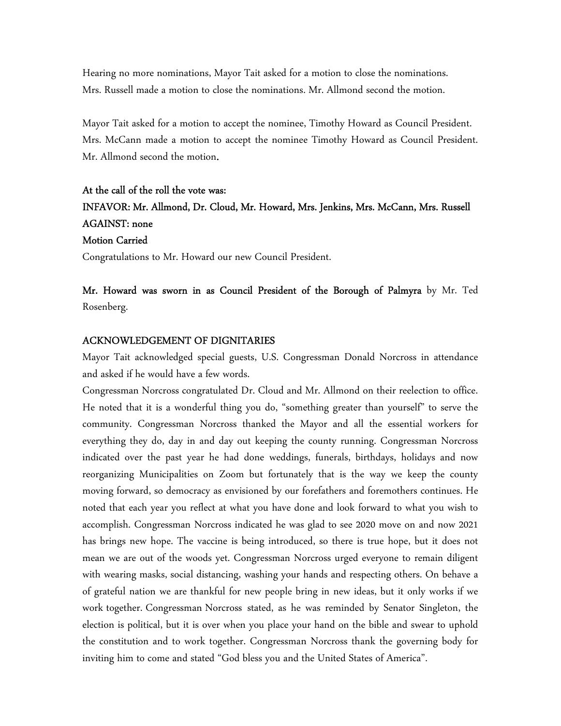Hearing no more nominations, Mayor Tait asked for a motion to close the nominations. Mrs. Russell made a motion to close the nominations. Mr. Allmond second the motion.

Mayor Tait asked for a motion to accept the nominee, Timothy Howard as Council President. Mrs. McCann made a motion to accept the nominee Timothy Howard as Council President. Mr. Allmond second the motion.

# At the call of the roll the vote was: INFAVOR: Mr. Allmond, Dr. Cloud, Mr. Howard, Mrs. Jenkins, Mrs. McCann, Mrs. Russell AGAINST: none Motion Carried

Congratulations to Mr. Howard our new Council President.

Mr. Howard was sworn in as Council President of the Borough of Palmyra by Mr. Ted Rosenberg.

#### ACKNOWLEDGEMENT OF DIGNITARIES

Mayor Tait acknowledged special guests, U.S. Congressman Donald Norcross in attendance and asked if he would have a few words.

Congressman Norcross congratulated Dr. Cloud and Mr. Allmond on their reelection to office. He noted that it is a wonderful thing you do, "something greater than yourself" to serve the community. Congressman Norcross thanked the Mayor and all the essential workers for everything they do, day in and day out keeping the county running. Congressman Norcross indicated over the past year he had done weddings, funerals, birthdays, holidays and now reorganizing Municipalities on Zoom but fortunately that is the way we keep the county moving forward, so democracy as envisioned by our forefathers and foremothers continues. He noted that each year you reflect at what you have done and look forward to what you wish to accomplish. Congressman Norcross indicated he was glad to see 2020 move on and now 2021 has brings new hope. The vaccine is being introduced, so there is true hope, but it does not mean we are out of the woods yet. Congressman Norcross urged everyone to remain diligent with wearing masks, social distancing, washing your hands and respecting others. On behave a of grateful nation we are thankful for new people bring in new ideas, but it only works if we work together. Congressman Norcross stated, as he was reminded by Senator Singleton, the election is political, but it is over when you place your hand on the bible and swear to uphold the constitution and to work together. Congressman Norcross thank the governing body for inviting him to come and stated "God bless you and the United States of America".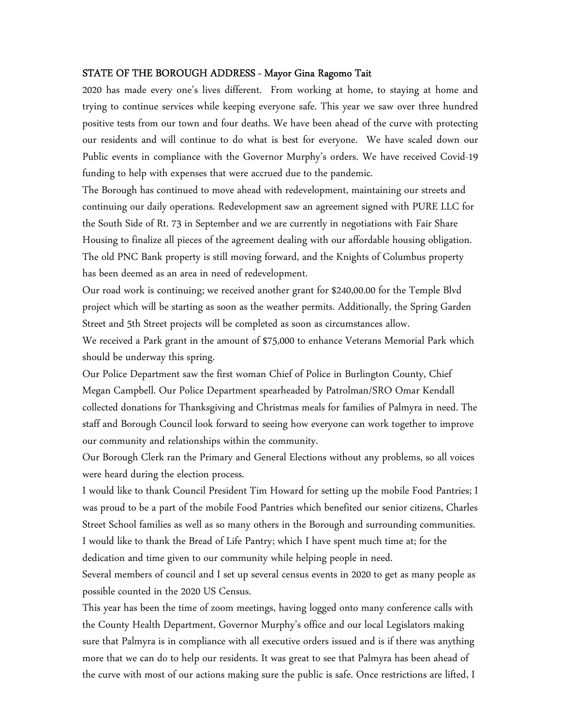#### STATE OF THE BOROUGH ADDRESS - Mayor Gina Ragomo Tait

2020 has made every one's lives different. From working at home, to staying at home and trying to continue services while keeping everyone safe. This year we saw over three hundred positive tests from our town and four deaths. We have been ahead of the curve with protecting our residents and will continue to do what is best for everyone. We have scaled down our Public events in compliance with the Governor Murphy's orders. We have received Covid-19 funding to help with expenses that were accrued due to the pandemic.

The Borough has continued to move ahead with redevelopment, maintaining our streets and continuing our daily operations. Redevelopment saw an agreement signed with PURE LLC for the South Side of Rt. 73 in September and we are currently in negotiations with Fair Share Housing to finalize all pieces of the agreement dealing with our affordable housing obligation. The old PNC Bank property is still moving forward, and the Knights of Columbus property has been deemed as an area in need of redevelopment.

Our road work is continuing; we received another grant for \$240,00.00 for the Temple Blvd project which will be starting as soon as the weather permits. Additionally, the Spring Garden Street and 5th Street projects will be completed as soon as circumstances allow.

We received a Park grant in the amount of \$75,000 to enhance Veterans Memorial Park which should be underway this spring.

Our Police Department saw the first woman Chief of Police in Burlington County, Chief Megan Campbell. Our Police Department spearheaded by Patrolman/SRO Omar Kendall collected donations for Thanksgiving and Christmas meals for families of Palmyra in need. The staff and Borough Council look forward to seeing how everyone can work together to improve our community and relationships within the community.

Our Borough Clerk ran the Primary and General Elections without any problems, so all voices were heard during the election process.

I would like to thank Council President Tim Howard for setting up the mobile Food Pantries; I was proud to be a part of the mobile Food Pantries which benefited our senior citizens, Charles Street School families as well as so many others in the Borough and surrounding communities. I would like to thank the Bread of Life Pantry; which I have spent much time at; for the dedication and time given to our community while helping people in need.

Several members of council and I set up several census events in 2020 to get as many people as possible counted in the 2020 US Census.

This year has been the time of zoom meetings, having logged onto many conference calls with the County Health Department, Governor Murphy's office and our local Legislators making sure that Palmyra is in compliance with all executive orders issued and is if there was anything more that we can do to help our residents. It was great to see that Palmyra has been ahead of the curve with most of our actions making sure the public is safe. Once restrictions are lifted, I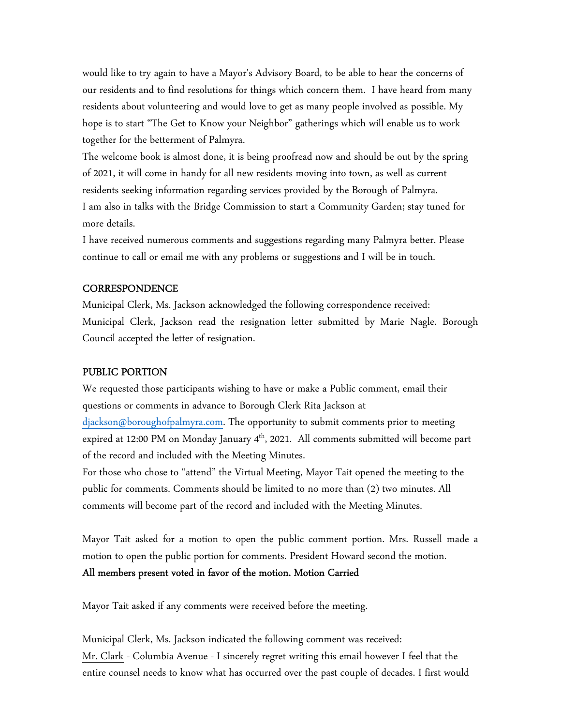would like to try again to have a Mayor's Advisory Board, to be able to hear the concerns of our residents and to find resolutions for things which concern them. I have heard from many residents about volunteering and would love to get as many people involved as possible. My hope is to start "The Get to Know your Neighbor" gatherings which will enable us to work together for the betterment of Palmyra.

The welcome book is almost done, it is being proofread now and should be out by the spring of 2021, it will come in handy for all new residents moving into town, as well as current residents seeking information regarding services provided by the Borough of Palmyra. I am also in talks with the Bridge Commission to start a Community Garden; stay tuned for more details.

I have received numerous comments and suggestions regarding many Palmyra better. Please continue to call or email me with any problems or suggestions and I will be in touch.

#### **CORRESPONDENCE**

Municipal Clerk, Ms. Jackson acknowledged the following correspondence received: Municipal Clerk, Jackson read the resignation letter submitted by Marie Nagle. Borough Council accepted the letter of resignation.

#### PUBLIC PORTION

We requested those participants wishing to have or make a Public comment, email their questions or comments in advance to Borough Clerk Rita Jackson at djackson@boroughofpalmyra.com. The opportunity to submit comments prior to meeting expired at 12:00 PM on Monday January  $4<sup>th</sup>$ , 2021. All comments submitted will become part of the record and included with the Meeting Minutes.

For those who chose to "attend" the Virtual Meeting, Mayor Tait opened the meeting to the public for comments. Comments should be limited to no more than (2) two minutes. All comments will become part of the record and included with the Meeting Minutes.

Mayor Tait asked for a motion to open the public comment portion. Mrs. Russell made a motion to open the public portion for comments. President Howard second the motion.

## All members present voted in favor of the motion. Motion Carried

Mayor Tait asked if any comments were received before the meeting.

Municipal Clerk, Ms. Jackson indicated the following comment was received: Mr. Clark - Columbia Avenue - I sincerely regret writing this email however I feel that the entire counsel needs to know what has occurred over the past couple of decades. I first would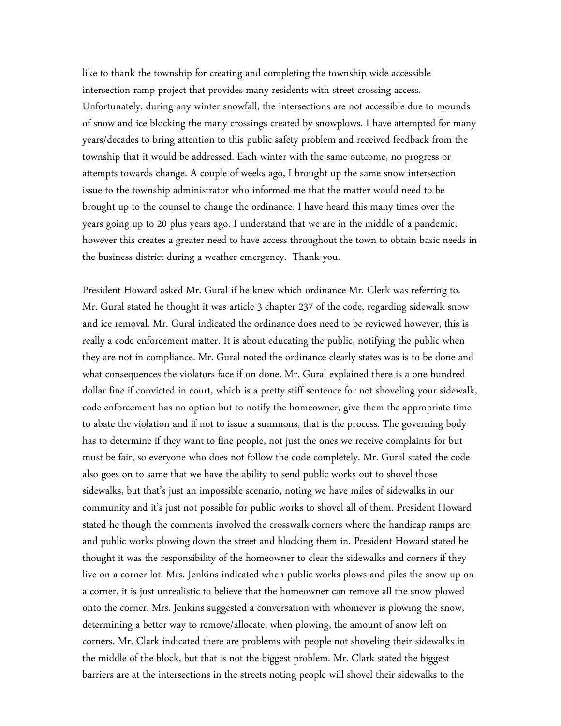like to thank the township for creating and completing the township wide accessible intersection ramp project that provides many residents with street crossing access. Unfortunately, during any winter snowfall, the intersections are not accessible due to mounds of snow and ice blocking the many crossings created by snowplows. I have attempted for many years/decades to bring attention to this public safety problem and received feedback from the township that it would be addressed. Each winter with the same outcome, no progress or attempts towards change. A couple of weeks ago, I brought up the same snow intersection issue to the township administrator who informed me that the matter would need to be brought up to the counsel to change the ordinance. I have heard this many times over the years going up to 20 plus years ago. I understand that we are in the middle of a pandemic, however this creates a greater need to have access throughout the town to obtain basic needs in the business district during a weather emergency. Thank you.

President Howard asked Mr. Gural if he knew which ordinance Mr. Clerk was referring to. Mr. Gural stated he thought it was article 3 chapter 237 of the code, regarding sidewalk snow and ice removal. Mr. Gural indicated the ordinance does need to be reviewed however, this is really a code enforcement matter. It is about educating the public, notifying the public when they are not in compliance. Mr. Gural noted the ordinance clearly states was is to be done and what consequences the violators face if on done. Mr. Gural explained there is a one hundred dollar fine if convicted in court, which is a pretty stiff sentence for not shoveling your sidewalk, code enforcement has no option but to notify the homeowner, give them the appropriate time to abate the violation and if not to issue a summons, that is the process. The governing body has to determine if they want to fine people, not just the ones we receive complaints for but must be fair, so everyone who does not follow the code completely. Mr. Gural stated the code also goes on to same that we have the ability to send public works out to shovel those sidewalks, but that's just an impossible scenario, noting we have miles of sidewalks in our community and it's just not possible for public works to shovel all of them. President Howard stated he though the comments involved the crosswalk corners where the handicap ramps are and public works plowing down the street and blocking them in. President Howard stated he thought it was the responsibility of the homeowner to clear the sidewalks and corners if they live on a corner lot. Mrs. Jenkins indicated when public works plows and piles the snow up on a corner, it is just unrealistic to believe that the homeowner can remove all the snow plowed onto the corner. Mrs. Jenkins suggested a conversation with whomever is plowing the snow, determining a better way to remove/allocate, when plowing, the amount of snow left on corners. Mr. Clark indicated there are problems with people not shoveling their sidewalks in the middle of the block, but that is not the biggest problem. Mr. Clark stated the biggest barriers are at the intersections in the streets noting people will shovel their sidewalks to the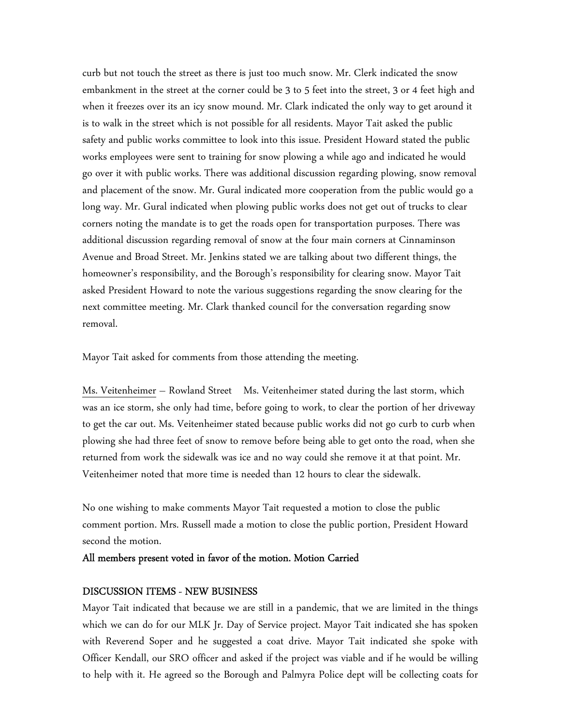curb but not touch the street as there is just too much snow. Mr. Clerk indicated the snow embankment in the street at the corner could be 3 to 5 feet into the street, 3 or 4 feet high and when it freezes over its an icy snow mound. Mr. Clark indicated the only way to get around it is to walk in the street which is not possible for all residents. Mayor Tait asked the public safety and public works committee to look into this issue. President Howard stated the public works employees were sent to training for snow plowing a while ago and indicated he would go over it with public works. There was additional discussion regarding plowing, snow removal and placement of the snow. Mr. Gural indicated more cooperation from the public would go a long way. Mr. Gural indicated when plowing public works does not get out of trucks to clear corners noting the mandate is to get the roads open for transportation purposes. There was additional discussion regarding removal of snow at the four main corners at Cinnaminson Avenue and Broad Street. Mr. Jenkins stated we are talking about two different things, the homeowner's responsibility, and the Borough's responsibility for clearing snow. Mayor Tait asked President Howard to note the various suggestions regarding the snow clearing for the next committee meeting. Mr. Clark thanked council for the conversation regarding snow removal.

Mayor Tait asked for comments from those attending the meeting.

Ms. Veitenheimer – Rowland Street Ms. Veitenheimer stated during the last storm, which was an ice storm, she only had time, before going to work, to clear the portion of her driveway to get the car out. Ms. Veitenheimer stated because public works did not go curb to curb when plowing she had three feet of snow to remove before being able to get onto the road, when she returned from work the sidewalk was ice and no way could she remove it at that point. Mr. Veitenheimer noted that more time is needed than 12 hours to clear the sidewalk.

No one wishing to make comments Mayor Tait requested a motion to close the public comment portion. Mrs. Russell made a motion to close the public portion, President Howard second the motion.

#### All members present voted in favor of the motion. Motion Carried

#### DISCUSSION ITEMS - NEW BUSINESS

Mayor Tait indicated that because we are still in a pandemic, that we are limited in the things which we can do for our MLK Jr. Day of Service project. Mayor Tait indicated she has spoken with Reverend Soper and he suggested a coat drive. Mayor Tait indicated she spoke with Officer Kendall, our SRO officer and asked if the project was viable and if he would be willing to help with it. He agreed so the Borough and Palmyra Police dept will be collecting coats for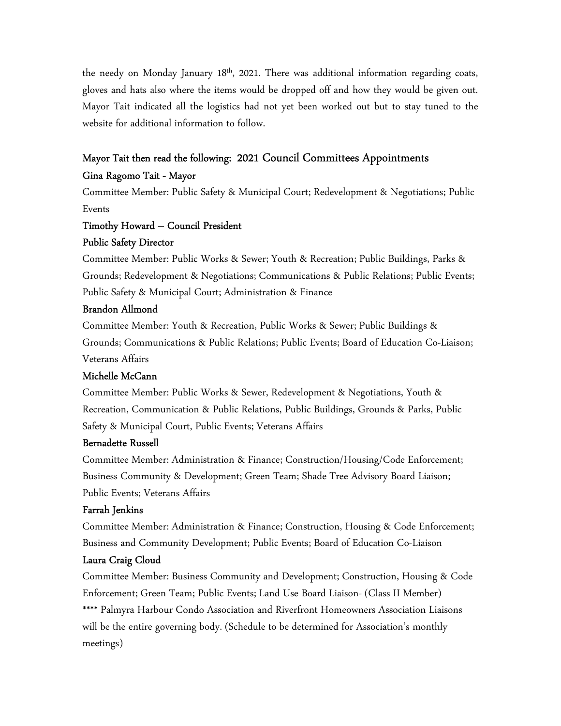the needy on Monday January 18<sup>th</sup>, 2021. There was additional information regarding coats, gloves and hats also where the items would be dropped off and how they would be given out. Mayor Tait indicated all the logistics had not yet been worked out but to stay tuned to the website for additional information to follow.

## Mayor Tait then read the following: 2021 Council Committees Appointments

#### Gina Ragomo Tait - Mayor

Committee Member: Public Safety & Municipal Court; Redevelopment & Negotiations; Public Events

# Timothy Howard – Council President

## Public Safety Director

Committee Member: Public Works & Sewer; Youth & Recreation; Public Buildings, Parks & Grounds; Redevelopment & Negotiations; Communications & Public Relations; Public Events; Public Safety & Municipal Court; Administration & Finance

## Brandon Allmond

Committee Member: Youth & Recreation, Public Works & Sewer; Public Buildings & Grounds; Communications & Public Relations; Public Events; Board of Education Co-Liaison; Veterans Affairs

## Michelle McCann

Committee Member: Public Works & Sewer, Redevelopment & Negotiations, Youth & Recreation, Communication & Public Relations, Public Buildings, Grounds & Parks, Public Safety & Municipal Court, Public Events; Veterans Affairs

#### Bernadette Russell

Committee Member: Administration & Finance; Construction/Housing/Code Enforcement; Business Community & Development; Green Team; Shade Tree Advisory Board Liaison; Public Events; Veterans Affairs

## Farrah Jenkins

Committee Member: Administration & Finance; Construction, Housing & Code Enforcement; Business and Community Development; Public Events; Board of Education Co-Liaison

## Laura Craig Cloud

Committee Member: Business Community and Development; Construction, Housing & Code Enforcement; Green Team; Public Events; Land Use Board Liaison- (Class II Member) \*\*\*\* Palmyra Harbour Condo Association and Riverfront Homeowners Association Liaisons will be the entire governing body. (Schedule to be determined for Association's monthly meetings)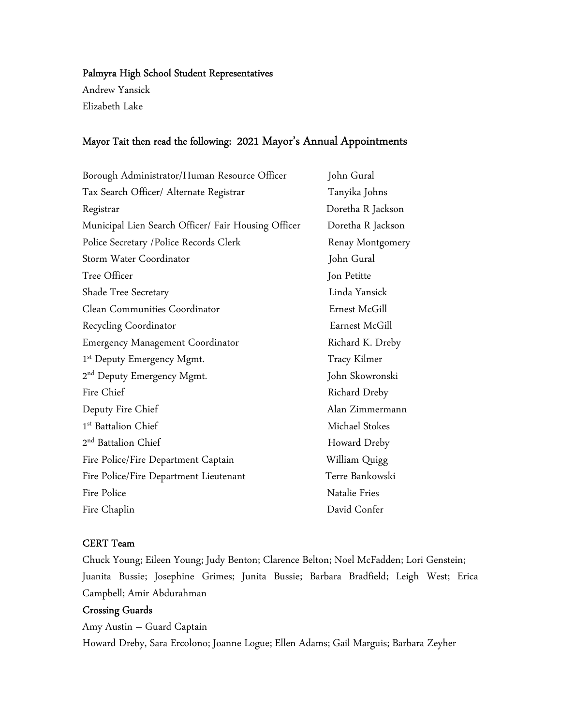## Palmyra High School Student Representatives

Andrew Yansick Elizabeth Lake

## Mayor Tait then read the following: 2021 Mayor's Annual Appointments

| Borough Administrator/Human Resource Officer        | John Gural        |
|-----------------------------------------------------|-------------------|
| Tax Search Officer/ Alternate Registrar             | Tanyika Johns     |
| Registrar                                           | Doretha R Jackson |
| Municipal Lien Search Officer/ Fair Housing Officer | Doretha R Jackson |
| Police Secretary / Police Records Clerk             | Renay Montgomery  |
| Storm Water Coordinator                             | John Gural        |
| Tree Officer                                        | Jon Petitte       |
| Shade Tree Secretary                                | Linda Yansick     |
| Clean Communities Coordinator                       | Ernest McGill     |
| Recycling Coordinator                               | Earnest McGill    |
| Emergency Management Coordinator                    | Richard K. Dreby  |
| 1 <sup>st</sup> Deputy Emergency Mgmt.              | Tracy Kilmer      |
| 2 <sup>nd</sup> Deputy Emergency Mgmt.              | John Skowronski   |
| Fire Chief                                          | Richard Dreby     |
| Deputy Fire Chief                                   | Alan Zimmermann   |
| 1 <sup>st</sup> Battalion Chief                     | Michael Stokes    |
| 2 <sup>nd</sup> Battalion Chief                     | Howard Dreby      |
| Fire Police/Fire Department Captain                 | William Quigg     |
| Fire Police/Fire Department Lieutenant              | Terre Bankowski   |
| Fire Police                                         | Natalie Fries     |
| Fire Chaplin                                        | David Confer      |

## CERT Team

Chuck Young; Eileen Young; Judy Benton; Clarence Belton; Noel McFadden; Lori Genstein; Juanita Bussie; Josephine Grimes; Junita Bussie; Barbara Bradfield; Leigh West; Erica Campbell; Amir Abdurahman

## Crossing Guards

Amy Austin – Guard Captain Howard Dreby, Sara Ercolono; Joanne Logue; Ellen Adams; Gail Marguis; Barbara Zeyher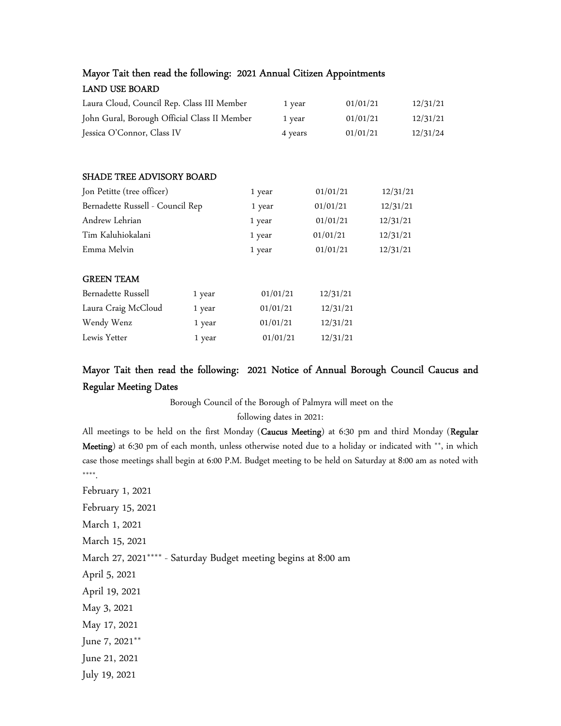| Mayor Tait then read the following: 2021 Annual Citizen Appointments |        |          |          |          |          |          |  |
|----------------------------------------------------------------------|--------|----------|----------|----------|----------|----------|--|
| <b>LAND USE BOARD</b>                                                |        |          |          |          |          |          |  |
| Laura Cloud, Council Rep. Class III Member                           |        | 1 year   | 01/01/21 |          | 12/31/21 |          |  |
| John Gural, Borough Official Class II Member                         |        |          | 1 year   | 01/01/21 |          | 12/31/21 |  |
| Jessica O'Connor, Class IV                                           |        |          | 4 years  | 01/01/21 |          | 12/31/24 |  |
|                                                                      |        |          |          |          |          |          |  |
| SHADE TREE ADVISORY BOARD                                            |        |          |          |          |          |          |  |
| Jon Petitte (tree officer)                                           |        | 1 year   |          | 01/01/21 |          | 12/31/21 |  |
| Bernadette Russell - Council Rep                                     |        | 1 year   |          | 01/01/21 |          | 12/31/21 |  |
| Andrew Lehrian                                                       |        | 1 year   |          | 01/01/21 | 12/31/21 |          |  |
| Tim Kaluhiokalani                                                    |        | 1 year   |          | 01/01/21 |          | 12/31/21 |  |
| Emma Melvin                                                          |        | 1 year   |          | 01/01/21 |          | 12/31/21 |  |
| <b>GREEN TEAM</b>                                                    |        |          |          |          |          |          |  |
| Bernadette Russell                                                   | 1 year | 01/01/21 |          | 12/31/21 |          |          |  |
| Laura Craig McCloud                                                  | 1 year | 01/01/21 |          | 12/31/21 |          |          |  |
| Wendy Wenz                                                           | 1 year | 01/01/21 |          | 12/31/21 |          |          |  |
| Lewis Yetter                                                         | 1 year | 01/01/21 |          | 12/31/21 |          |          |  |

# Mayor Tait then read the following: 2021 Notice of Annual Borough Council Caucus and Regular Meeting Dates

Borough Council of the Borough of Palmyra will meet on the

following dates in 2021:

All meetings to be held on the first Monday (Caucus Meeting) at 6:30 pm and third Monday (Regular Meeting) at 6:30 pm of each month, unless otherwise noted due to a holiday or indicated with \*\*, in which case those meetings shall begin at 6:00 P.M. Budget meeting to be held on Saturday at 8:00 am as noted with \*\*\*\*.

February 1, 2021 February 15, 2021 March 1, 2021 March 15, 2021 March 27, 2021\*\*\*\* - Saturday Budget meeting begins at 8:00 am April 5, 2021 April 19, 2021 May 3, 2021 May 17, 2021 June 7, 2021\*\* June 21, 2021

July 19, 2021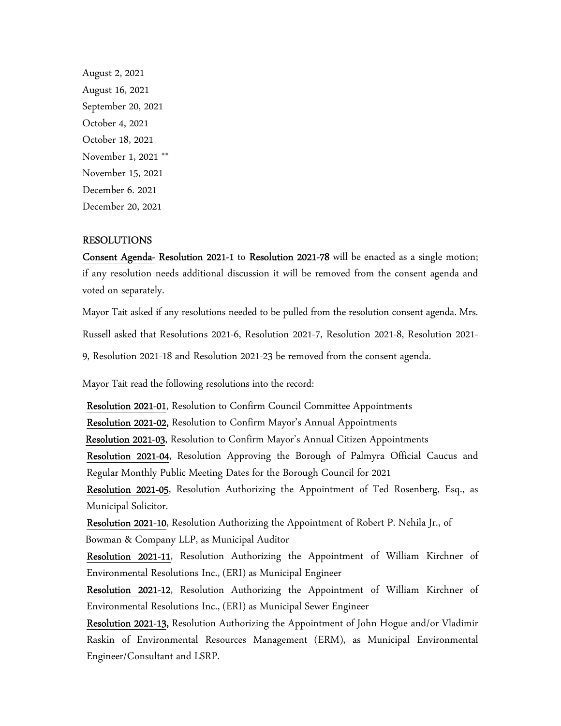August 2, 2021 August 16, 2021 September 20, 2021 October 4, 2021 October 18, 2021 November 1, 2021 \*\* November 15, 2021 December 6. 2021 December 20, 2021

#### RESOLUTIONS

Consent Agenda- Resolution 2021-1 to Resolution 2021-78 will be enacted as a single motion; if any resolution needs additional discussion it will be removed from the consent agenda and voted on separately.

Mayor Tait asked if any resolutions needed to be pulled from the resolution consent agenda. Mrs.

Russell asked that Resolutions 2021-6, Resolution 2021-7, Resolution 2021-8, Resolution 2021-

9, Resolution 2021-18 and Resolution 2021-23 be removed from the consent agenda.

Mayor Tait read the following resolutions into the record:

Resolution 2021-01, Resolution to Confirm Council Committee Appointments

Resolution 2021-02, Resolution to Confirm Mayor's Annual Appointments

Resolution 2021-03, Resolution to Confirm Mayor's Annual Citizen Appointments

Resolution 2021-04, Resolution Approving the Borough of Palmyra Official Caucus and Regular Monthly Public Meeting Dates for the Borough Council for 2021

Resolution 2021-05, Resolution Authorizing the Appointment of Ted Rosenberg, Esq., as Municipal Solicitor.

Resolution 2021-10, Resolution Authorizing the Appointment of Robert P. Nehila Jr., of Bowman & Company LLP, as Municipal Auditor

Resolution 2021-11, Resolution Authorizing the Appointment of William Kirchner of Environmental Resolutions Inc., (ERI) as Municipal Engineer

Resolution 2021-12, Resolution Authorizing the Appointment of William Kirchner of Environmental Resolutions Inc., (ERI) as Municipal Sewer Engineer

Resolution 2021-13, Resolution Authorizing the Appointment of John Hogue and/or Vladimir Raskin of Environmental Resources Management (ERM), as Municipal Environmental Engineer/Consultant and LSRP.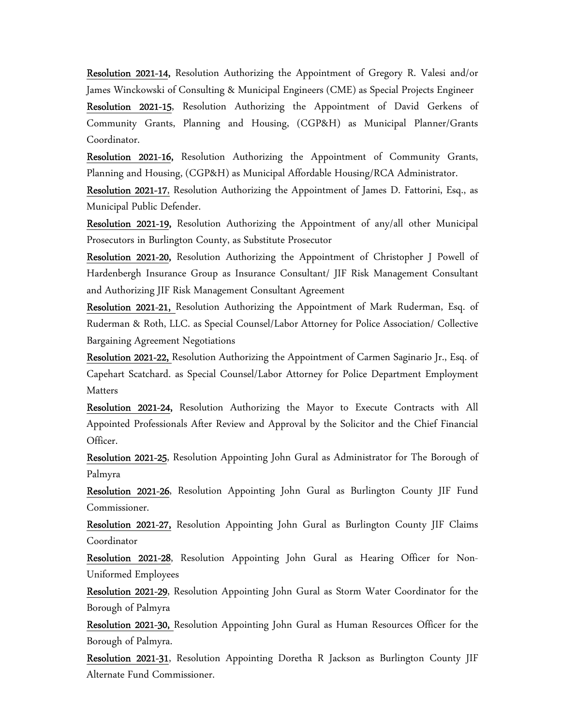Resolution 2021-14, Resolution Authorizing the Appointment of Gregory R. Valesi and/or James Winckowski of Consulting & Municipal Engineers (CME) as Special Projects Engineer

Resolution 2021-15, Resolution Authorizing the Appointment of David Gerkens of Community Grants, Planning and Housing, (CGP&H) as Municipal Planner/Grants Coordinator.

Resolution 2021-16, Resolution Authorizing the Appointment of Community Grants, Planning and Housing, (CGP&H) as Municipal Affordable Housing/RCA Administrator.

Resolution 2021-17, Resolution Authorizing the Appointment of James D. Fattorini, Esq., as Municipal Public Defender.

Resolution 2021-19, Resolution Authorizing the Appointment of any/all other Municipal Prosecutors in Burlington County, as Substitute Prosecutor

Resolution 2021-20, Resolution Authorizing the Appointment of Christopher J Powell of Hardenbergh Insurance Group as Insurance Consultant/ JIF Risk Management Consultant and Authorizing JIF Risk Management Consultant Agreement

Resolution 2021-21, Resolution Authorizing the Appointment of Mark Ruderman, Esq. of Ruderman & Roth, LLC. as Special Counsel/Labor Attorney for Police Association/ Collective Bargaining Agreement Negotiations

Resolution 2021-22, Resolution Authorizing the Appointment of Carmen Saginario Jr., Esq. of Capehart Scatchard. as Special Counsel/Labor Attorney for Police Department Employment Matters

Resolution 2021-24, Resolution Authorizing the Mayor to Execute Contracts with All Appointed Professionals After Review and Approval by the Solicitor and the Chief Financial Officer.

Resolution 2021-25, Resolution Appointing John Gural as Administrator for The Borough of Palmyra

Resolution 2021-26, Resolution Appointing John Gural as Burlington County JIF Fund Commissioner.

Resolution 2021-27, Resolution Appointing John Gural as Burlington County JIF Claims Coordinator

Resolution 2021-28, Resolution Appointing John Gural as Hearing Officer for Non-Uniformed Employees

Resolution 2021-29, Resolution Appointing John Gural as Storm Water Coordinator for the Borough of Palmyra

Resolution 2021-30, Resolution Appointing John Gural as Human Resources Officer for the Borough of Palmyra.

Resolution 2021-31, Resolution Appointing Doretha R Jackson as Burlington County JIF Alternate Fund Commissioner.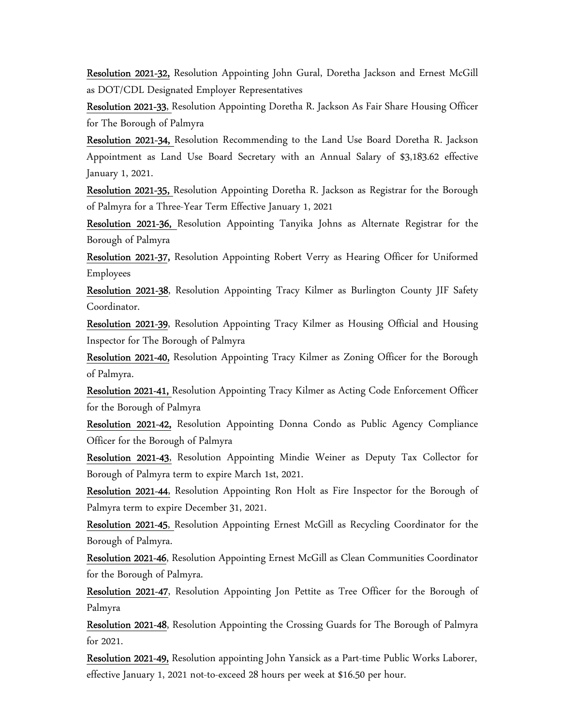Resolution 2021-32, Resolution Appointing John Gural, Doretha Jackson and Ernest McGill as DOT/CDL Designated Employer Representatives

Resolution 2021-33, Resolution Appointing Doretha R. Jackson As Fair Share Housing Officer for The Borough of Palmyra

Resolution 2021-34, Resolution Recommending to the Land Use Board Doretha R. Jackson Appointment as Land Use Board Secretary with an Annual Salary of \$3,183.62 effective January 1, 2021.

Resolution 2021-35, Resolution Appointing Doretha R. Jackson as Registrar for the Borough of Palmyra for a Three-Year Term Effective January 1, 2021

Resolution 2021-36, Resolution Appointing Tanyika Johns as Alternate Registrar for the Borough of Palmyra

Resolution 2021-37, Resolution Appointing Robert Verry as Hearing Officer for Uniformed Employees

Resolution 2021-38, Resolution Appointing Tracy Kilmer as Burlington County JIF Safety Coordinator.

Resolution 2021-39, Resolution Appointing Tracy Kilmer as Housing Official and Housing Inspector for The Borough of Palmyra

Resolution 2021-40, Resolution Appointing Tracy Kilmer as Zoning Officer for the Borough of Palmyra.

Resolution 2021-41, Resolution Appointing Tracy Kilmer as Acting Code Enforcement Officer for the Borough of Palmyra

Resolution 2021-42, Resolution Appointing Donna Condo as Public Agency Compliance Officer for the Borough of Palmyra

Resolution 2021-43, Resolution Appointing Mindie Weiner as Deputy Tax Collector for Borough of Palmyra term to expire March 1st, 2021.

Resolution 2021-44, Resolution Appointing Ron Holt as Fire Inspector for the Borough of Palmyra term to expire December 31, 2021.

Resolution 2021-45, Resolution Appointing Ernest McGill as Recycling Coordinator for the Borough of Palmyra.

Resolution 2021-46, Resolution Appointing Ernest McGill as Clean Communities Coordinator for the Borough of Palmyra.

Resolution 2021-47, Resolution Appointing Jon Pettite as Tree Officer for the Borough of Palmyra

Resolution 2021-48, Resolution Appointing the Crossing Guards for The Borough of Palmyra for 2021.

Resolution 2021-49, Resolution appointing John Yansick as a Part-time Public Works Laborer, effective January 1, 2021 not-to-exceed 28 hours per week at \$16.50 per hour.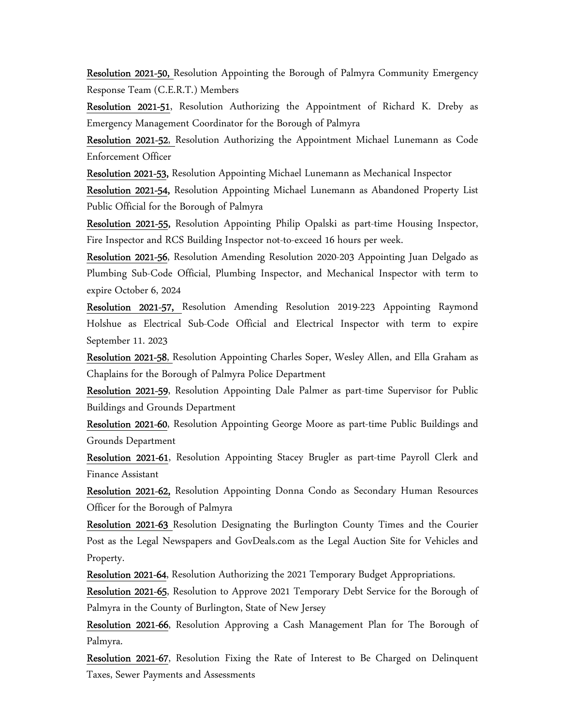Resolution 2021-50, Resolution Appointing the Borough of Palmyra Community Emergency Response Team (C.E.R.T.) Members

Resolution 2021-51, Resolution Authorizing the Appointment of Richard K. Dreby as Emergency Management Coordinator for the Borough of Palmyra

Resolution 2021-52, Resolution Authorizing the Appointment Michael Lunemann as Code Enforcement Officer

Resolution 2021-53, Resolution Appointing Michael Lunemann as Mechanical Inspector

Resolution 2021-54, Resolution Appointing Michael Lunemann as Abandoned Property List Public Official for the Borough of Palmyra

Resolution 2021-55, Resolution Appointing Philip Opalski as part-time Housing Inspector, Fire Inspector and RCS Building Inspector not-to-exceed 16 hours per week.

Resolution 2021-56, Resolution Amending Resolution 2020-203 Appointing Juan Delgado as Plumbing Sub-Code Official, Plumbing Inspector, and Mechanical Inspector with term to expire October 6, 2024

Resolution 2021-57, Resolution Amending Resolution 2019-223 Appointing Raymond Holshue as Electrical Sub-Code Official and Electrical Inspector with term to expire September 11. 2023

Resolution 2021-58, Resolution Appointing Charles Soper, Wesley Allen, and Ella Graham as Chaplains for the Borough of Palmyra Police Department

Resolution 2021-59, Resolution Appointing Dale Palmer as part-time Supervisor for Public Buildings and Grounds Department

Resolution 2021-60, Resolution Appointing George Moore as part-time Public Buildings and Grounds Department

Resolution 2021-61, Resolution Appointing Stacey Brugler as part-time Payroll Clerk and Finance Assistant

Resolution 2021-62, Resolution Appointing Donna Condo as Secondary Human Resources Officer for the Borough of Palmyra

Resolution 2021-63 Resolution Designating the Burlington County Times and the Courier Post as the Legal Newspapers and GovDeals.com as the Legal Auction Site for Vehicles and Property.

Resolution 2021-64, Resolution Authorizing the 2021 Temporary Budget Appropriations.

Resolution 2021-65, Resolution to Approve 2021 Temporary Debt Service for the Borough of Palmyra in the County of Burlington, State of New Jersey

Resolution 2021-66, Resolution Approving a Cash Management Plan for The Borough of Palmyra.

Resolution 2021-67, Resolution Fixing the Rate of Interest to Be Charged on Delinquent Taxes, Sewer Payments and Assessments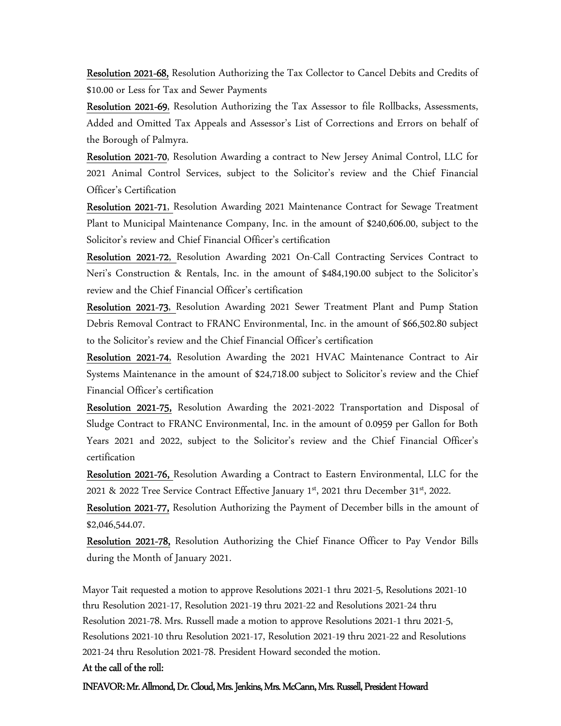Resolution 2021-68, Resolution Authorizing the Tax Collector to Cancel Debits and Credits of \$10.00 or Less for Tax and Sewer Payments

Resolution 2021-69, Resolution Authorizing the Tax Assessor to file Rollbacks, Assessments, Added and Omitted Tax Appeals and Assessor's List of Corrections and Errors on behalf of the Borough of Palmyra.

Resolution 2021-70, Resolution Awarding a contract to New Jersey Animal Control, LLC for 2021 Animal Control Services, subject to the Solicitor's review and the Chief Financial Officer's Certification

Resolution 2021-71, Resolution Awarding 2021 Maintenance Contract for Sewage Treatment Plant to Municipal Maintenance Company, Inc. in the amount of \$240,606.00, subject to the Solicitor's review and Chief Financial Officer's certification

Resolution 2021-72, Resolution Awarding 2021 On-Call Contracting Services Contract to Neri's Construction & Rentals, Inc. in the amount of \$484,190.00 subject to the Solicitor's review and the Chief Financial Officer's certification

Resolution 2021-73, Resolution Awarding 2021 Sewer Treatment Plant and Pump Station Debris Removal Contract to FRANC Environmental, Inc. in the amount of \$66,502.80 subject to the Solicitor's review and the Chief Financial Officer's certification

Resolution 2021-74, Resolution Awarding the 2021 HVAC Maintenance Contract to Air Systems Maintenance in the amount of \$24,718.00 subject to Solicitor's review and the Chief Financial Officer's certification

Resolution 2021-75, Resolution Awarding the 2021-2022 Transportation and Disposal of Sludge Contract to FRANC Environmental, Inc. in the amount of 0.0959 per Gallon for Both Years 2021 and 2022, subject to the Solicitor's review and the Chief Financial Officer's certification

Resolution 2021-76, Resolution Awarding a Contract to Eastern Environmental, LLC for the 2021 & 2022 Tree Service Contract Effective January  $1<sup>st</sup>$ , 2021 thru December 31 $<sup>st</sup>$ , 2022.</sup>

Resolution 2021-77, Resolution Authorizing the Payment of December bills in the amount of \$2,046,544.07.

Resolution 2021-78, Resolution Authorizing the Chief Finance Officer to Pay Vendor Bills during the Month of January 2021.

Mayor Tait requested a motion to approve Resolutions 2021-1 thru 2021-5, Resolutions 2021-10 thru Resolution 2021-17, Resolution 2021-19 thru 2021-22 and Resolutions 2021-24 thru Resolution 2021-78. Mrs. Russell made a motion to approve Resolutions 2021-1 thru 2021-5, Resolutions 2021-10 thru Resolution 2021-17, Resolution 2021-19 thru 2021-22 and Resolutions 2021-24 thru Resolution 2021-78. President Howard seconded the motion.

#### At the call of the roll:

INFAVOR: Mr. Allmond, Dr. Cloud, Mrs. Jenkins, Mrs. McCann, Mrs. Russell, President Howard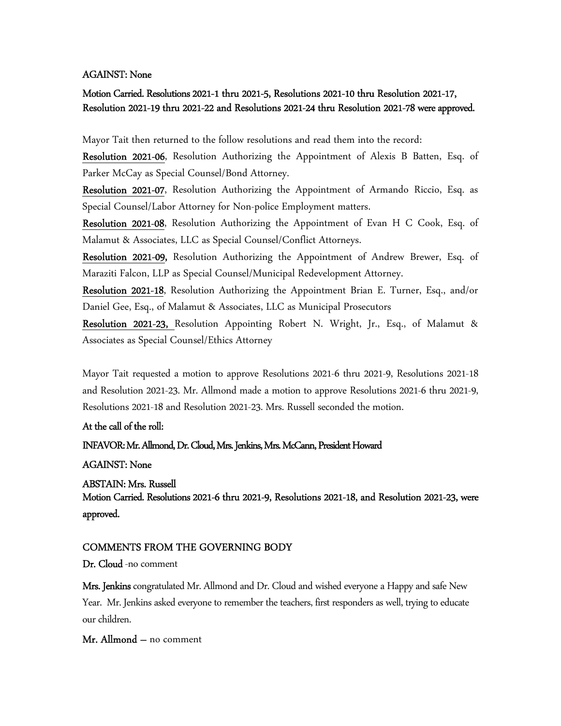#### AGAINST: None

## Motion Carried. Resolutions 2021-1 thru 2021-5, Resolutions 2021-10 thru Resolution 2021-17, Resolution 2021-19 thru 2021-22 and Resolutions 2021-24 thru Resolution 2021-78 were approved.

Mayor Tait then returned to the follow resolutions and read them into the record:

Resolution 2021-06, Resolution Authorizing the Appointment of Alexis B Batten, Esq. of Parker McCay as Special Counsel/Bond Attorney.

Resolution 2021-07, Resolution Authorizing the Appointment of Armando Riccio, Esq. as Special Counsel/Labor Attorney for Non-police Employment matters.

Resolution 2021-08, Resolution Authorizing the Appointment of Evan H C Cook, Esq. of Malamut & Associates, LLC as Special Counsel/Conflict Attorneys.

Resolution 2021-09, Resolution Authorizing the Appointment of Andrew Brewer, Esq. of Maraziti Falcon, LLP as Special Counsel/Municipal Redevelopment Attorney.

Resolution 2021-18, Resolution Authorizing the Appointment Brian E. Turner, Esq., and/or Daniel Gee, Esq., of Malamut & Associates, LLC as Municipal Prosecutors

Resolution 2021-23, Resolution Appointing Robert N. Wright, Jr., Esq., of Malamut & Associates as Special Counsel/Ethics Attorney

Mayor Tait requested a motion to approve Resolutions 2021-6 thru 2021-9, Resolutions 2021-18 and Resolution 2021-23. Mr. Allmond made a motion to approve Resolutions 2021-6 thru 2021-9, Resolutions 2021-18 and Resolution 2021-23. Mrs. Russell seconded the motion.

#### At the call of the roll:

#### INFAVOR: Mr. Allmond, Dr. Cloud, Mrs. Jenkins, Mrs. McCann, President Howard

#### AGAINST: None

#### ABSTAIN: Mrs. Russell

Motion Carried. Resolutions 2021-6 thru 2021-9, Resolutions 2021-18, and Resolution 2021-23, were approved.

#### COMMENTS FROM THE GOVERNING BODY

Dr. Cloud -no comment

Mrs. Jenkins congratulated Mr. Allmond and Dr. Cloud and wished everyone a Happy and safe New Year. Mr. Jenkins asked everyone to remember the teachers, first responders as well, trying to educate our children.

#### Mr. Allmond – no comment